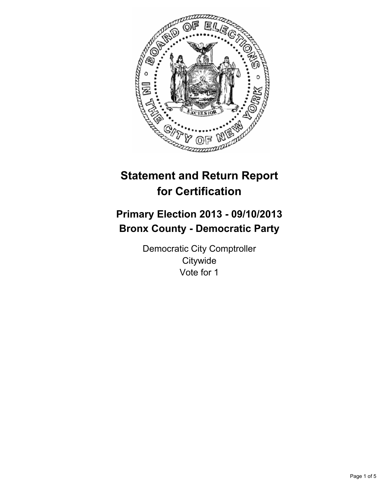

# **Statement and Return Report for Certification**

# **Primary Election 2013 - 09/10/2013 Bronx County - Democratic Party**

Democratic City Comptroller **Citywide** Vote for 1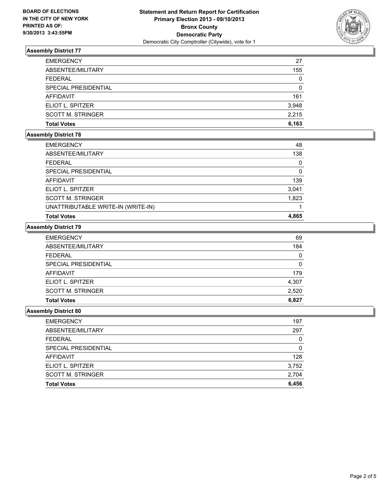

## **Assembly District 77**

| <b>EMERGENCY</b>         | 27    |
|--------------------------|-------|
| ABSENTEE/MILITARY        | 155   |
| FEDERAL                  | 0     |
| SPECIAL PRESIDENTIAL     | 0     |
| AFFIDAVIT                | 161   |
| ELIOT L. SPITZER         | 3,948 |
| <b>SCOTT M. STRINGER</b> | 2.215 |
| <b>Total Votes</b>       | 6.163 |

## **Assembly District 78**

| <b>EMERGENCY</b>                   | 48    |
|------------------------------------|-------|
| ABSENTEE/MILITARY                  | 138   |
| <b>FEDERAL</b>                     | 0     |
| SPECIAL PRESIDENTIAL               | 0     |
| <b>AFFIDAVIT</b>                   | 139   |
| ELIOT L. SPITZER                   | 3,041 |
| <b>SCOTT M. STRINGER</b>           | 1,823 |
| UNATTRIBUTABLE WRITE-IN (WRITE-IN) |       |
| <b>Total Votes</b>                 | 4,865 |
|                                    |       |

# **Assembly District 79**

| <b>EMERGENCY</b>         | 69    |
|--------------------------|-------|
| ABSENTEE/MILITARY        | 184   |
| FEDERAL                  | 0     |
| SPECIAL PRESIDENTIAL     | 0     |
| AFFIDAVIT                | 179   |
| ELIOT L. SPITZER         | 4,307 |
| <b>SCOTT M. STRINGER</b> | 2,520 |
| <b>Total Votes</b>       | 6,827 |

#### **Assembly District 80**

| <b>EMERGENCY</b>         | 197   |
|--------------------------|-------|
| ABSENTEE/MILITARY        | 297   |
| <b>FEDERAL</b>           | 0     |
| SPECIAL PRESIDENTIAL     | O     |
| <b>AFFIDAVIT</b>         | 128   |
| ELIOT L. SPITZER         | 3,752 |
| <b>SCOTT M. STRINGER</b> | 2,704 |
| <b>Total Votes</b>       | 6,456 |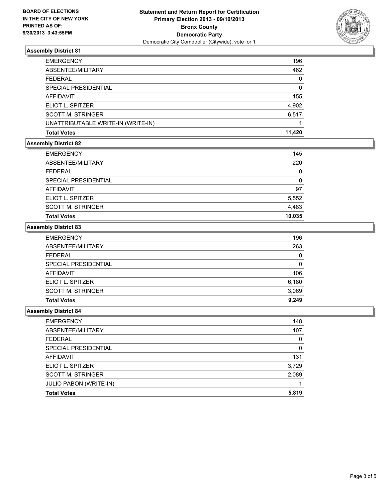

### **Assembly District 81**

| <b>EMERGENCY</b>                   | 196    |
|------------------------------------|--------|
| ABSENTEE/MILITARY                  | 462    |
| FFDFRAI                            | 0      |
| SPECIAL PRESIDENTIAL               | 0      |
| <b>AFFIDAVIT</b>                   | 155    |
| ELIOT L. SPITZER                   | 4,902  |
| <b>SCOTT M. STRINGER</b>           | 6,517  |
| UNATTRIBUTABLE WRITE-IN (WRITE-IN) |        |
| <b>Total Votes</b>                 | 11.420 |

#### **Assembly District 82**

| <b>EMERGENCY</b>         | 145      |
|--------------------------|----------|
| ABSENTEE/MILITARY        | 220      |
| <b>FEDERAL</b>           | 0        |
| SPECIAL PRESIDENTIAL     | $\Omega$ |
| <b>AFFIDAVIT</b>         | 97       |
| ELIOT L. SPITZER         | 5,552    |
| <b>SCOTT M. STRINGER</b> | 4,483    |
| <b>Total Votes</b>       | 10,035   |

#### **Assembly District 83**

| <b>EMERGENCY</b>         | 196   |
|--------------------------|-------|
| ABSENTEE/MILITARY        | 263   |
| <b>FEDERAL</b>           | 0     |
| SPECIAL PRESIDENTIAL     | 0     |
| AFFIDAVIT                | 106   |
| ELIOT L. SPITZER         | 6,180 |
| <b>SCOTT M. STRINGER</b> | 3,069 |
| <b>Total Votes</b>       | 9,249 |

#### **Assembly District 84**

| <b>EMERGENCY</b>         | 148      |
|--------------------------|----------|
| ABSENTEE/MILITARY        | 107      |
| <b>FEDERAL</b>           | 0        |
| SPECIAL PRESIDENTIAL     | $\Omega$ |
| <b>AFFIDAVIT</b>         | 131      |
| ELIOT L. SPITZER         | 3,729    |
| <b>SCOTT M. STRINGER</b> | 2,089    |
| JULIO PABON (WRITE-IN)   |          |
| <b>Total Votes</b>       | 5,819    |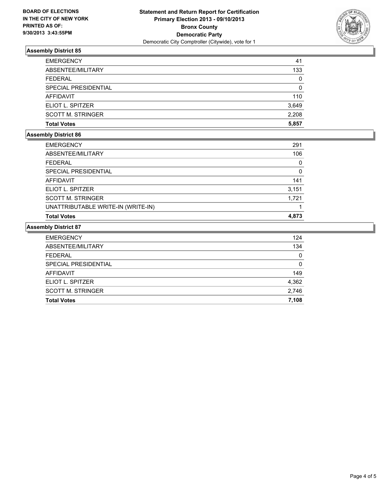

### **Assembly District 85**

| <b>EMERGENCY</b>         | 41       |
|--------------------------|----------|
| ABSENTEE/MILITARY        | 133      |
| FFDFRAL                  | 0        |
| SPECIAL PRESIDENTIAL     | $\Omega$ |
| AFFIDAVIT                | 110      |
| ELIOT L. SPITZER         | 3,649    |
| <b>SCOTT M. STRINGER</b> | 2.208    |
| <b>Total Votes</b>       | 5.857    |

## **Assembly District 86**

| <b>EMERGENCY</b>                   | 291   |
|------------------------------------|-------|
| ABSENTEE/MILITARY                  | 106   |
| <b>FEDERAL</b>                     | 0     |
| SPECIAL PRESIDENTIAL               | 0     |
| AFFIDAVIT                          | 141   |
| ELIOT L. SPITZER                   | 3,151 |
| <b>SCOTT M. STRINGER</b>           | 1.721 |
| UNATTRIBUTABLE WRITE-IN (WRITE-IN) |       |
| <b>Total Votes</b>                 | 4,873 |

## **Assembly District 87**

| <b>EMERGENCY</b>         | 124   |
|--------------------------|-------|
| ABSENTEE/MILITARY        | 134   |
| <b>FEDERAL</b>           | 0     |
| SPECIAL PRESIDENTIAL     | 0     |
| AFFIDAVIT                | 149   |
| ELIOT L. SPITZER         | 4,362 |
| <b>SCOTT M. STRINGER</b> | 2,746 |
| <b>Total Votes</b>       | 7,108 |